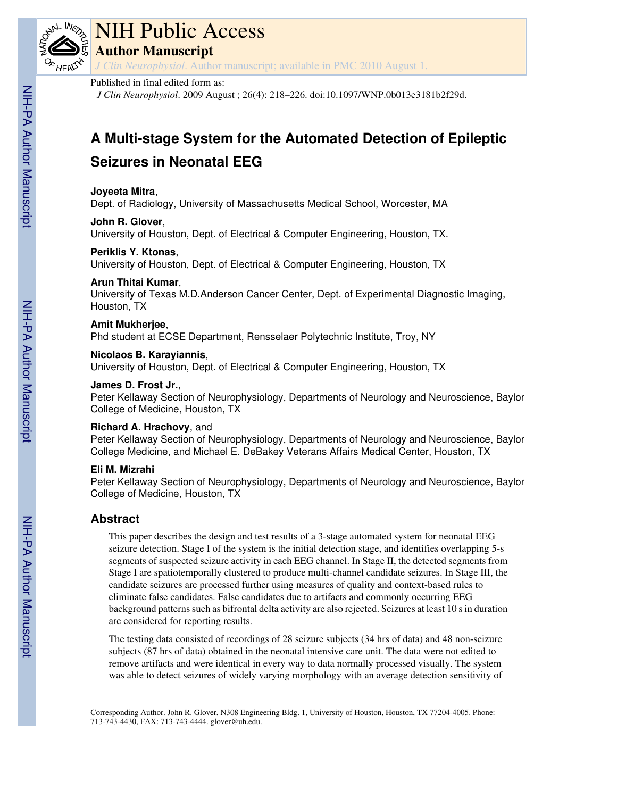

# NIH Public Access

**Author Manuscript**

*J Clin Neurophysiol*. Author manuscript; available in PMC 2010 August 1.

## Published in final edited form as:

*J Clin Neurophysiol*. 2009 August ; 26(4): 218–226. doi:10.1097/WNP.0b013e3181b2f29d.

## **A Multi-stage System for the Automated Detection of Epileptic Seizures in Neonatal EEG**

## **Joyeeta Mitra**,

Dept. of Radiology, University of Massachusetts Medical School, Worcester, MA

## **John R. Glover**,

University of Houston, Dept. of Electrical & Computer Engineering, Houston, TX.

## **Periklis Y. Ktonas**,

University of Houston, Dept. of Electrical & Computer Engineering, Houston, TX

## **Arun Thitai Kumar**,

University of Texas M.D.Anderson Cancer Center, Dept. of Experimental Diagnostic Imaging, Houston, TX

## **Amit Mukherjee**,

Phd student at ECSE Department, Rensselaer Polytechnic Institute, Troy, NY

## **Nicolaos B. Karayiannis**,

University of Houston, Dept. of Electrical & Computer Engineering, Houston, TX

## **James D. Frost Jr.**,

Peter Kellaway Section of Neurophysiology, Departments of Neurology and Neuroscience, Baylor College of Medicine, Houston, TX

## **Richard A. Hrachovy**, and

Peter Kellaway Section of Neurophysiology, Departments of Neurology and Neuroscience, Baylor College Medicine, and Michael E. DeBakey Veterans Affairs Medical Center, Houston, TX

## **Eli M. Mizrahi**

Peter Kellaway Section of Neurophysiology, Departments of Neurology and Neuroscience, Baylor College of Medicine, Houston, TX

## **Abstract**

This paper describes the design and test results of a 3-stage automated system for neonatal EEG seizure detection. Stage I of the system is the initial detection stage, and identifies overlapping 5-s segments of suspected seizure activity in each EEG channel. In Stage II, the detected segments from Stage I are spatiotemporally clustered to produce multi-channel candidate seizures. In Stage III, the candidate seizures are processed further using measures of quality and context-based rules to eliminate false candidates. False candidates due to artifacts and commonly occurring EEG background patterns such as bifrontal delta activity are also rejected. Seizures at least 10 s in duration are considered for reporting results.

The testing data consisted of recordings of 28 seizure subjects (34 hrs of data) and 48 non-seizure subjects (87 hrs of data) obtained in the neonatal intensive care unit. The data were not edited to remove artifacts and were identical in every way to data normally processed visually. The system was able to detect seizures of widely varying morphology with an average detection sensitivity of

Corresponding Author. John R. Glover, N308 Engineering Bldg. 1, University of Houston, Houston, TX 77204-4005. Phone: 713-743-4430, FAX: 713-743-4444. glover@uh.edu.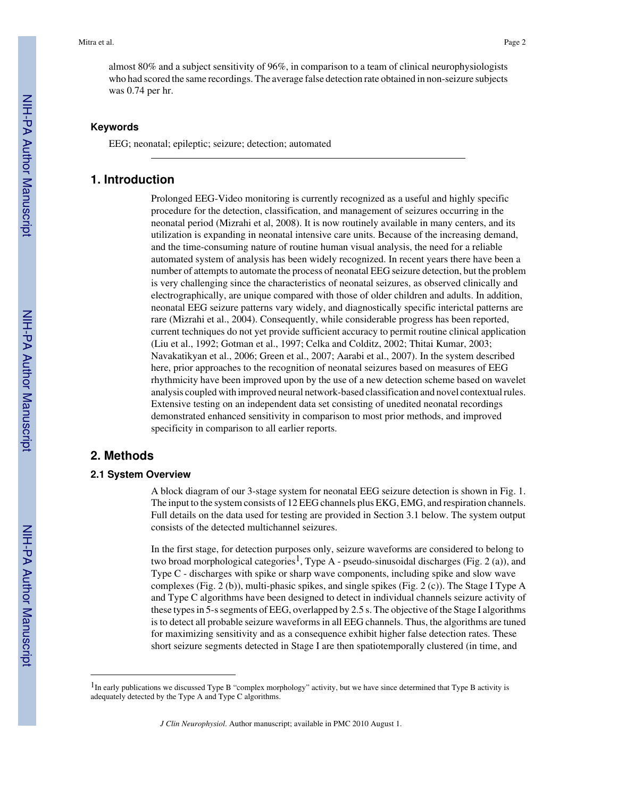almost 80% and a subject sensitivity of 96%, in comparison to a team of clinical neurophysiologists who had scored the same recordings. The average false detection rate obtained in non-seizure subjects was 0.74 per hr.

#### **Keywords**

EEG; neonatal; epileptic; seizure; detection; automated

#### **1. Introduction**

Prolonged EEG-Video monitoring is currently recognized as a useful and highly specific procedure for the detection, classification, and management of seizures occurring in the neonatal period (Mizrahi et al, 2008). It is now routinely available in many centers, and its utilization is expanding in neonatal intensive care units. Because of the increasing demand, and the time-consuming nature of routine human visual analysis, the need for a reliable automated system of analysis has been widely recognized. In recent years there have been a number of attempts to automate the process of neonatal EEG seizure detection, but the problem is very challenging since the characteristics of neonatal seizures, as observed clinically and electrographically, are unique compared with those of older children and adults. In addition, neonatal EEG seizure patterns vary widely, and diagnostically specific interictal patterns are rare (Mizrahi et al., 2004). Consequently, while considerable progress has been reported, current techniques do not yet provide sufficient accuracy to permit routine clinical application (Liu et al., 1992; Gotman et al., 1997; Celka and Colditz, 2002; Thitai Kumar, 2003; Navakatikyan et al., 2006; Green et al., 2007; Aarabi et al., 2007). In the system described here, prior approaches to the recognition of neonatal seizures based on measures of EEG rhythmicity have been improved upon by the use of a new detection scheme based on wavelet analysis coupled with improved neural network-based classification and novel contextual rules. Extensive testing on an independent data set consisting of unedited neonatal recordings demonstrated enhanced sensitivity in comparison to most prior methods, and improved specificity in comparison to all earlier reports.

## **2. Methods**

#### **2.1 System Overview**

A block diagram of our 3-stage system for neonatal EEG seizure detection is shown in Fig. 1. The input to the system consists of 12 EEG channels plus EKG, EMG, and respiration channels. Full details on the data used for testing are provided in Section 3.1 below. The system output consists of the detected multichannel seizures.

In the first stage, for detection purposes only, seizure waveforms are considered to belong to two broad morphological categories<sup>1</sup>, Type A - pseudo-sinusoidal discharges (Fig. 2 (a)), and Type C - discharges with spike or sharp wave components, including spike and slow wave complexes (Fig. 2 (b)), multi-phasic spikes, and single spikes (Fig. 2 (c)). The Stage I Type A and Type C algorithms have been designed to detect in individual channels seizure activity of these types in 5-s segments of EEG, overlapped by 2.5 s. The objective of the Stage I algorithms is to detect all probable seizure waveforms in all EEG channels. Thus, the algorithms are tuned for maximizing sensitivity and as a consequence exhibit higher false detection rates. These short seizure segments detected in Stage I are then spatiotemporally clustered (in time, and

 $<sup>1</sup>$  In early publications we discussed Type B "complex morphology" activity, but we have since determined that Type B activity is</sup> adequately detected by the Type A and Type C algorithms.

*J Clin Neurophysiol*. Author manuscript; available in PMC 2010 August 1.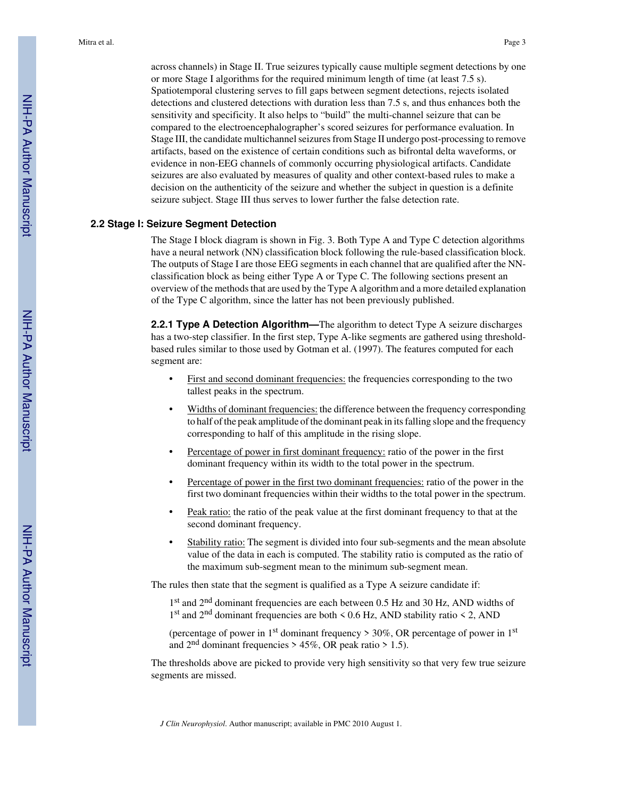across channels) in Stage II. True seizures typically cause multiple segment detections by one or more Stage I algorithms for the required minimum length of time (at least 7.5 s). Spatiotemporal clustering serves to fill gaps between segment detections, rejects isolated detections and clustered detections with duration less than 7.5 s, and thus enhances both the sensitivity and specificity. It also helps to "build" the multi-channel seizure that can be compared to the electroencephalographer's scored seizures for performance evaluation. In Stage III, the candidate multichannel seizures from Stage II undergo post-processing to remove artifacts, based on the existence of certain conditions such as bifrontal delta waveforms, or evidence in non-EEG channels of commonly occurring physiological artifacts. Candidate seizures are also evaluated by measures of quality and other context-based rules to make a decision on the authenticity of the seizure and whether the subject in question is a definite seizure subject. Stage III thus serves to lower further the false detection rate.

#### **2.2 Stage I: Seizure Segment Detection**

The Stage I block diagram is shown in Fig. 3. Both Type A and Type C detection algorithms have a neural network (NN) classification block following the rule-based classification block. The outputs of Stage I are those EEG segments in each channel that are qualified after the NNclassification block as being either Type A or Type C. The following sections present an overview of the methods that are used by the Type A algorithm and a more detailed explanation of the Type C algorithm, since the latter has not been previously published.

**2.2.1 Type A Detection Algorithm—**The algorithm to detect Type A seizure discharges has a two-step classifier. In the first step, Type A-like segments are gathered using thresholdbased rules similar to those used by Gotman et al. (1997). The features computed for each segment are:

- First and second dominant frequencies: the frequencies corresponding to the two tallest peaks in the spectrum.
- **•** Widths of dominant frequencies: the difference between the frequency corresponding to half of the peak amplitude of the dominant peak in its falling slope and the frequency corresponding to half of this amplitude in the rising slope.
- **•** Percentage of power in first dominant frequency: ratio of the power in the first dominant frequency within its width to the total power in the spectrum.
- Percentage of power in the first two dominant frequencies: ratio of the power in the first two dominant frequencies within their widths to the total power in the spectrum.
- **•** Peak ratio: the ratio of the peak value at the first dominant frequency to that at the second dominant frequency.
- **Stability ratio:** The segment is divided into four sub-segments and the mean absolute value of the data in each is computed. The stability ratio is computed as the ratio of the maximum sub-segment mean to the minimum sub-segment mean.

The rules then state that the segment is qualified as a Type A seizure candidate if:

1<sup>st</sup> and 2<sup>nd</sup> dominant frequencies are each between 0.5 Hz and 30 Hz, AND widths of 1<sup>st</sup> and 2<sup>nd</sup> dominant frequencies are both < 0.6 Hz, AND stability ratio < 2, AND

(percentage of power in 1<sup>st</sup> dominant frequency  $> 30\%$ , OR percentage of power in 1<sup>st</sup> and  $2<sup>nd</sup>$  dominant frequencies > 45%, OR peak ratio > 1.5).

The thresholds above are picked to provide very high sensitivity so that very few true seizure segments are missed.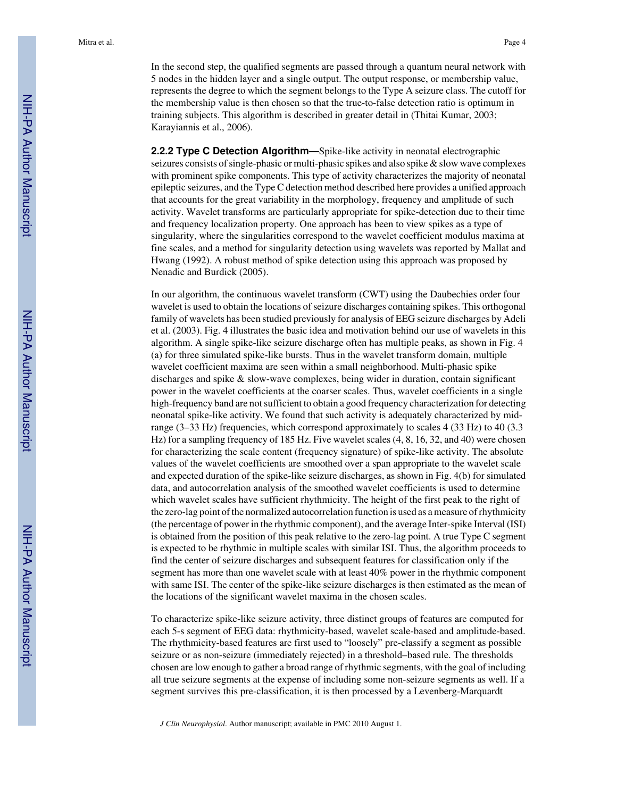In the second step, the qualified segments are passed through a quantum neural network with 5 nodes in the hidden layer and a single output. The output response, or membership value, represents the degree to which the segment belongs to the Type A seizure class. The cutoff for the membership value is then chosen so that the true-to-false detection ratio is optimum in training subjects. This algorithm is described in greater detail in (Thitai Kumar, 2003; Karayiannis et al., 2006).

**2.2.2 Type C Detection Algorithm—**Spike-like activity in neonatal electrographic seizures consists of single-phasic or multi-phasic spikes and also spike & slow wave complexes with prominent spike components. This type of activity characterizes the majority of neonatal epileptic seizures, and the Type C detection method described here provides a unified approach that accounts for the great variability in the morphology, frequency and amplitude of such activity. Wavelet transforms are particularly appropriate for spike-detection due to their time and frequency localization property. One approach has been to view spikes as a type of singularity, where the singularities correspond to the wavelet coefficient modulus maxima at fine scales, and a method for singularity detection using wavelets was reported by Mallat and Hwang (1992). A robust method of spike detection using this approach was proposed by Nenadic and Burdick (2005).

In our algorithm, the continuous wavelet transform (CWT) using the Daubechies order four wavelet is used to obtain the locations of seizure discharges containing spikes. This orthogonal family of wavelets has been studied previously for analysis of EEG seizure discharges by Adeli et al. (2003). Fig. 4 illustrates the basic idea and motivation behind our use of wavelets in this algorithm. A single spike-like seizure discharge often has multiple peaks, as shown in Fig. 4 (a) for three simulated spike-like bursts. Thus in the wavelet transform domain, multiple wavelet coefficient maxima are seen within a small neighborhood. Multi-phasic spike discharges and spike & slow-wave complexes, being wider in duration, contain significant power in the wavelet coefficients at the coarser scales. Thus, wavelet coefficients in a single high-frequency band are not sufficient to obtain a good frequency characterization for detecting neonatal spike-like activity. We found that such activity is adequately characterized by midrange (3–33 Hz) frequencies, which correspond approximately to scales 4 (33 Hz) to 40 (3.3 Hz) for a sampling frequency of 185 Hz. Five wavelet scales (4, 8, 16, 32, and 40) were chosen for characterizing the scale content (frequency signature) of spike-like activity. The absolute values of the wavelet coefficients are smoothed over a span appropriate to the wavelet scale and expected duration of the spike-like seizure discharges, as shown in Fig. 4(b) for simulated data, and autocorrelation analysis of the smoothed wavelet coefficients is used to determine which wavelet scales have sufficient rhythmicity. The height of the first peak to the right of the zero-lag point of the normalized autocorrelation function is used as a measure of rhythmicity (the percentage of power in the rhythmic component), and the average Inter-spike Interval (ISI) is obtained from the position of this peak relative to the zero-lag point. A true Type C segment is expected to be rhythmic in multiple scales with similar ISI. Thus, the algorithm proceeds to find the center of seizure discharges and subsequent features for classification only if the segment has more than one wavelet scale with at least 40% power in the rhythmic component with same ISI. The center of the spike-like seizure discharges is then estimated as the mean of the locations of the significant wavelet maxima in the chosen scales.

To characterize spike-like seizure activity, three distinct groups of features are computed for each 5-s segment of EEG data: rhythmicity-based, wavelet scale-based and amplitude-based. The rhythmicity-based features are first used to "loosely" pre-classify a segment as possible seizure or as non-seizure (immediately rejected) in a threshold–based rule. The thresholds chosen are low enough to gather a broad range of rhythmic segments, with the goal of including all true seizure segments at the expense of including some non-seizure segments as well. If a segment survives this pre-classification, it is then processed by a Levenberg-Marquardt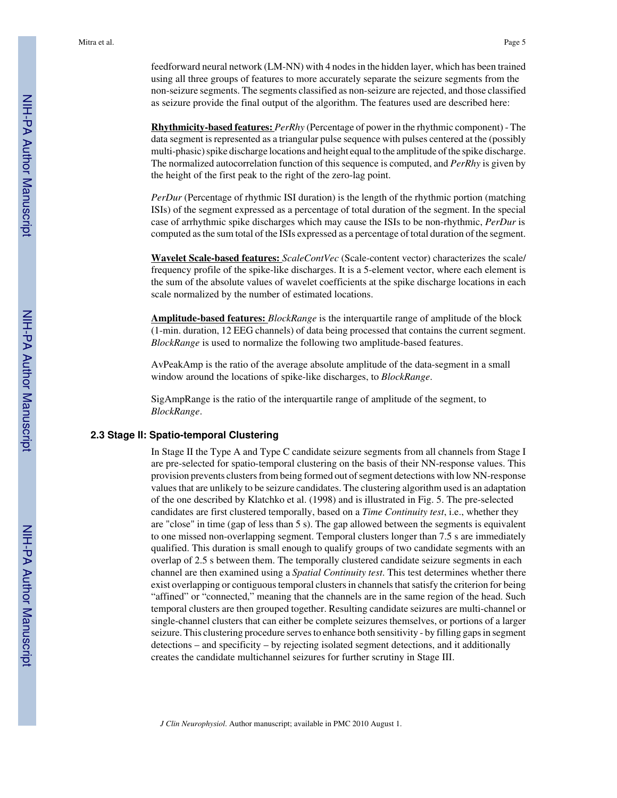feedforward neural network (LM-NN) with 4 nodes in the hidden layer, which has been trained using all three groups of features to more accurately separate the seizure segments from the non-seizure segments. The segments classified as non-seizure are rejected, and those classified as seizure provide the final output of the algorithm. The features used are described here:

**Rhythmicity-based features:** *PerRhy* (Percentage of power in the rhythmic component) - The data segment is represented as a triangular pulse sequence with pulses centered at the (possibly multi-phasic) spike discharge locations and height equal to the amplitude of the spike discharge. The normalized autocorrelation function of this sequence is computed, and *PerRhy* is given by the height of the first peak to the right of the zero-lag point.

*PerDur* (Percentage of rhythmic ISI duration) is the length of the rhythmic portion (matching ISIs) of the segment expressed as a percentage of total duration of the segment. In the special case of arrhythmic spike discharges which may cause the ISIs to be non-rhythmic, *PerDur* is computed as the sum total of the ISIs expressed as a percentage of total duration of the segment.

**Wavelet Scale-based features:** *ScaleContVec* (Scale-content vector) characterizes the scale/ frequency profile of the spike-like discharges. It is a 5-element vector, where each element is the sum of the absolute values of wavelet coefficients at the spike discharge locations in each scale normalized by the number of estimated locations.

**Amplitude-based features:** *BlockRange* is the interquartile range of amplitude of the block (1-min. duration, 12 EEG channels) of data being processed that contains the current segment. *BlockRange* is used to normalize the following two amplitude-based features.

AvPeakAmp is the ratio of the average absolute amplitude of the data-segment in a small window around the locations of spike-like discharges, to *BlockRange*.

SigAmpRange is the ratio of the interquartile range of amplitude of the segment, to *BlockRange*.

#### **2.3 Stage II: Spatio-temporal Clustering**

In Stage II the Type A and Type C candidate seizure segments from all channels from Stage I are pre-selected for spatio-temporal clustering on the basis of their NN-response values. This provision prevents clusters from being formed out of segment detections with low NN-response values that are unlikely to be seizure candidates. The clustering algorithm used is an adaptation of the one described by Klatchko et al. (1998) and is illustrated in Fig. 5. The pre-selected candidates are first clustered temporally, based on a *Time Continuity test*, i.e., whether they are "close" in time (gap of less than 5 s). The gap allowed between the segments is equivalent to one missed non-overlapping segment. Temporal clusters longer than 7.5 s are immediately qualified. This duration is small enough to qualify groups of two candidate segments with an overlap of 2.5 s between them. The temporally clustered candidate seizure segments in each channel are then examined using a *Spatial Continuity test*. This test determines whether there exist overlapping or contiguous temporal clusters in channels that satisfy the criterion for being "affined" or "connected," meaning that the channels are in the same region of the head. Such temporal clusters are then grouped together. Resulting candidate seizures are multi-channel or single-channel clusters that can either be complete seizures themselves, or portions of a larger seizure. This clustering procedure serves to enhance both sensitivity - by filling gaps in segment detections – and specificity – by rejecting isolated segment detections, and it additionally creates the candidate multichannel seizures for further scrutiny in Stage III.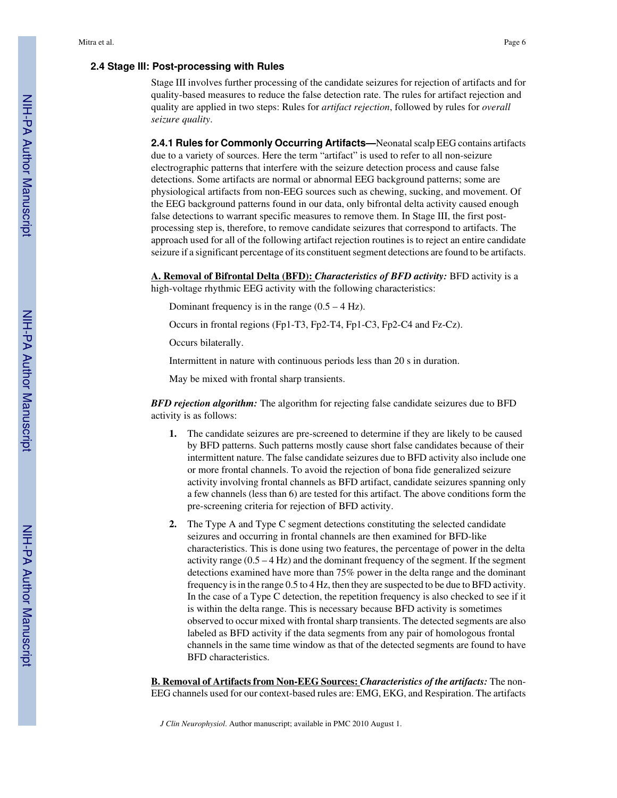#### **2.4 Stage III: Post-processing with Rules**

Stage III involves further processing of the candidate seizures for rejection of artifacts and for quality-based measures to reduce the false detection rate. The rules for artifact rejection and quality are applied in two steps: Rules for *artifact rejection*, followed by rules for *overall seizure quality*.

**2.4.1 Rules for Commonly Occurring Artifacts—**Neonatal scalp EEG contains artifacts due to a variety of sources. Here the term "artifact" is used to refer to all non-seizure electrographic patterns that interfere with the seizure detection process and cause false detections. Some artifacts are normal or abnormal EEG background patterns; some are physiological artifacts from non-EEG sources such as chewing, sucking, and movement. Of the EEG background patterns found in our data, only bifrontal delta activity caused enough false detections to warrant specific measures to remove them. In Stage III, the first postprocessing step is, therefore, to remove candidate seizures that correspond to artifacts. The approach used for all of the following artifact rejection routines is to reject an entire candidate seizure if a significant percentage of its constituent segment detections are found to be artifacts.

**A. Removal of Bifrontal Delta (BFD):** *Characteristics of BFD activity:* BFD activity is a high-voltage rhythmic EEG activity with the following characteristics:

Dominant frequency is in the range  $(0.5 - 4 \text{ Hz})$ .

Occurs in frontal regions (Fp1-T3, Fp2-T4, Fp1-C3, Fp2-C4 and Fz-Cz).

Occurs bilaterally.

Intermittent in nature with continuous periods less than 20 s in duration.

May be mixed with frontal sharp transients.

*BFD rejection algorithm:* The algorithm for rejecting false candidate seizures due to BFD activity is as follows:

- **1.** The candidate seizures are pre-screened to determine if they are likely to be caused by BFD patterns. Such patterns mostly cause short false candidates because of their intermittent nature. The false candidate seizures due to BFD activity also include one or more frontal channels. To avoid the rejection of bona fide generalized seizure activity involving frontal channels as BFD artifact, candidate seizures spanning only a few channels (less than 6) are tested for this artifact. The above conditions form the pre-screening criteria for rejection of BFD activity.
- **2.** The Type A and Type C segment detections constituting the selected candidate seizures and occurring in frontal channels are then examined for BFD-like characteristics. This is done using two features, the percentage of power in the delta activity range  $(0.5 - 4 \text{ Hz})$  and the dominant frequency of the segment. If the segment detections examined have more than 75% power in the delta range and the dominant frequency is in the range 0.5 to 4 Hz, then they are suspected to be due to BFD activity. In the case of a Type C detection, the repetition frequency is also checked to see if it is within the delta range. This is necessary because BFD activity is sometimes observed to occur mixed with frontal sharp transients. The detected segments are also labeled as BFD activity if the data segments from any pair of homologous frontal channels in the same time window as that of the detected segments are found to have BFD characteristics.

**B. Removal of Artifacts from Non-EEG Sources:** *Characteristics of the artifacts:* The non-EEG channels used for our context-based rules are: EMG, EKG, and Respiration. The artifacts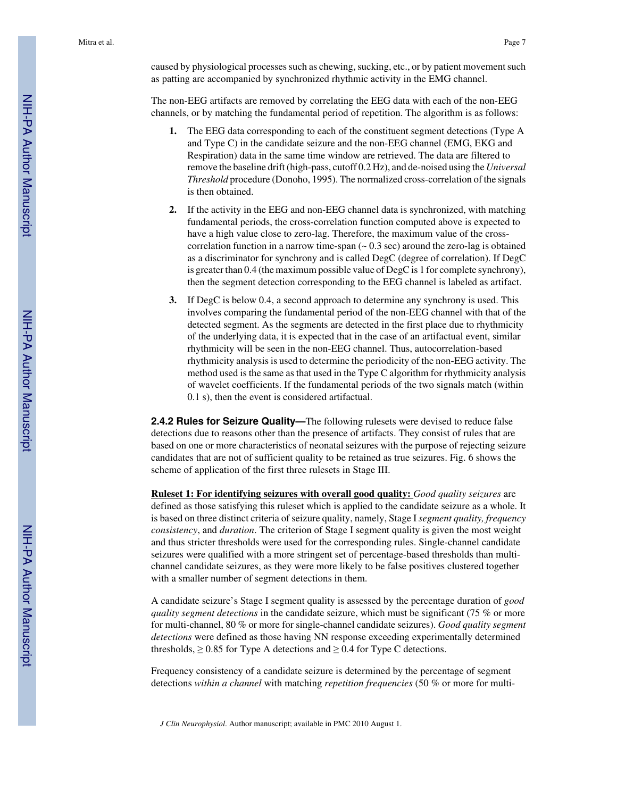caused by physiological processes such as chewing, sucking, etc., or by patient movement such as patting are accompanied by synchronized rhythmic activity in the EMG channel.

The non-EEG artifacts are removed by correlating the EEG data with each of the non-EEG channels, or by matching the fundamental period of repetition. The algorithm is as follows:

- **1.** The EEG data corresponding to each of the constituent segment detections (Type A and Type C) in the candidate seizure and the non-EEG channel (EMG, EKG and Respiration) data in the same time window are retrieved. The data are filtered to remove the baseline drift (high-pass, cutoff 0.2 Hz), and de-noised using the *Universal Threshold* procedure (Donoho, 1995). The normalized cross-correlation of the signals is then obtained.
- **2.** If the activity in the EEG and non-EEG channel data is synchronized, with matching fundamental periods, the cross-correlation function computed above is expected to have a high value close to zero-lag. Therefore, the maximum value of the crosscorrelation function in a narrow time-span  $($   $\sim$  0.3 sec) around the zero-lag is obtained as a discriminator for synchrony and is called DegC (degree of correlation). If DegC is greater than 0.4 (the maximum possible value of DegC is 1 for complete synchrony), then the segment detection corresponding to the EEG channel is labeled as artifact.
- **3.** If DegC is below 0.4, a second approach to determine any synchrony is used. This involves comparing the fundamental period of the non-EEG channel with that of the detected segment. As the segments are detected in the first place due to rhythmicity of the underlying data, it is expected that in the case of an artifactual event, similar rhythmicity will be seen in the non-EEG channel. Thus, autocorrelation-based rhythmicity analysis is used to determine the periodicity of the non-EEG activity. The method used is the same as that used in the Type C algorithm for rhythmicity analysis of wavelet coefficients. If the fundamental periods of the two signals match (within 0.1 s), then the event is considered artifactual.

**2.4.2 Rules for Seizure Quality—**The following rulesets were devised to reduce false detections due to reasons other than the presence of artifacts. They consist of rules that are based on one or more characteristics of neonatal seizures with the purpose of rejecting seizure candidates that are not of sufficient quality to be retained as true seizures. Fig. 6 shows the scheme of application of the first three rulesets in Stage III.

**Ruleset 1: For identifying seizures with overall good quality:** *Good quality seizures* are defined as those satisfying this ruleset which is applied to the candidate seizure as a whole. It is based on three distinct criteria of seizure quality, namely, Stage I *segment quality, frequency consistency*, and *duration*. The criterion of Stage I segment quality is given the most weight and thus stricter thresholds were used for the corresponding rules. Single-channel candidate seizures were qualified with a more stringent set of percentage-based thresholds than multichannel candidate seizures, as they were more likely to be false positives clustered together with a smaller number of segment detections in them.

A candidate seizure's Stage I segment quality is assessed by the percentage duration of *good quality segment detections* in the candidate seizure, which must be significant (75 % or more for multi-channel, 80 % or more for single-channel candidate seizures). *Good quality segment detections* were defined as those having NN response exceeding experimentally determined thresholds,  $\geq 0.85$  for Type A detections and  $\geq 0.4$  for Type C detections.

Frequency consistency of a candidate seizure is determined by the percentage of segment detections *within a channel* with matching *repetition frequencies* (50 % or more for multi-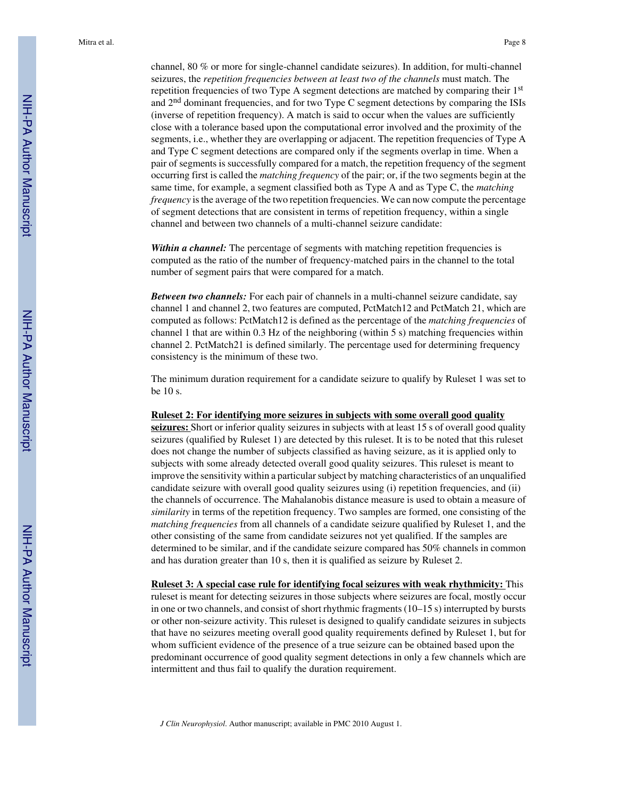channel, 80 % or more for single-channel candidate seizures). In addition, for multi-channel seizures, the *repetition frequencies between at least two of the channels* must match. The repetition frequencies of two Type A segment detections are matched by comparing their  $1<sup>st</sup>$ and 2nd dominant frequencies, and for two Type C segment detections by comparing the ISIs (inverse of repetition frequency). A match is said to occur when the values are sufficiently close with a tolerance based upon the computational error involved and the proximity of the segments, i.e., whether they are overlapping or adjacent. The repetition frequencies of Type A and Type C segment detections are compared only if the segments overlap in time. When a pair of segments is successfully compared for a match, the repetition frequency of the segment occurring first is called the *matching frequency* of the pair; or, if the two segments begin at the same time, for example, a segment classified both as Type A and as Type C, the *matching frequency* is the average of the two repetition frequencies. We can now compute the percentage of segment detections that are consistent in terms of repetition frequency, within a single channel and between two channels of a multi-channel seizure candidate:

Within a channel: The percentage of segments with matching repetition frequencies is computed as the ratio of the number of frequency-matched pairs in the channel to the total number of segment pairs that were compared for a match.

*Between two channels:* For each pair of channels in a multi-channel seizure candidate, say channel 1 and channel 2, two features are computed, PctMatch12 and PctMatch 21, which are computed as follows: PctMatch12 is defined as the percentage of the *matching frequencies* of channel 1 that are within 0.3 Hz of the neighboring (within 5 s) matching frequencies within channel 2. PctMatch21 is defined similarly. The percentage used for determining frequency consistency is the minimum of these two.

The minimum duration requirement for a candidate seizure to qualify by Ruleset 1 was set to be 10 s.

#### **Ruleset 2: For identifying more seizures in subjects with some overall good quality**

seizures: Short or inferior quality seizures in subjects with at least 15 s of overall good quality seizures (qualified by Ruleset 1) are detected by this ruleset. It is to be noted that this ruleset does not change the number of subjects classified as having seizure, as it is applied only to subjects with some already detected overall good quality seizures. This ruleset is meant to improve the sensitivity within a particular subject by matching characteristics of an unqualified candidate seizure with overall good quality seizures using (i) repetition frequencies, and (ii) the channels of occurrence. The Mahalanobis distance measure is used to obtain a measure of *similarity* in terms of the repetition frequency. Two samples are formed, one consisting of the *matching frequencies* from all channels of a candidate seizure qualified by Ruleset 1, and the other consisting of the same from candidate seizures not yet qualified. If the samples are determined to be similar, and if the candidate seizure compared has 50% channels in common and has duration greater than 10 s, then it is qualified as seizure by Ruleset 2.

**Ruleset 3: A special case rule for identifying focal seizures with weak rhythmicity:** This ruleset is meant for detecting seizures in those subjects where seizures are focal, mostly occur in one or two channels, and consist of short rhythmic fragments (10–15 s) interrupted by bursts or other non-seizure activity. This ruleset is designed to qualify candidate seizures in subjects that have no seizures meeting overall good quality requirements defined by Ruleset 1, but for whom sufficient evidence of the presence of a true seizure can be obtained based upon the predominant occurrence of good quality segment detections in only a few channels which are intermittent and thus fail to qualify the duration requirement.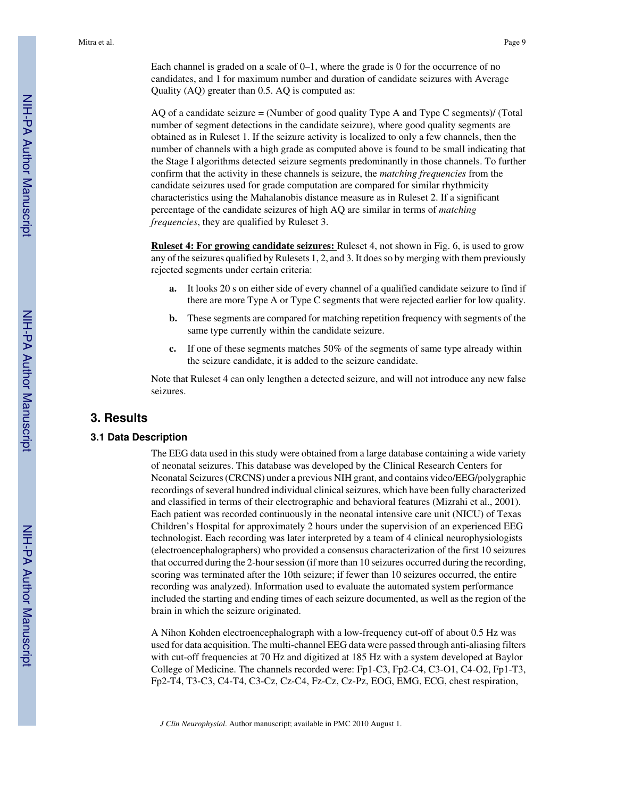Each channel is graded on a scale of  $0-1$ , where the grade is 0 for the occurrence of no candidates, and 1 for maximum number and duration of candidate seizures with Average Quality (AQ) greater than 0.5. AQ is computed as:

AQ of a candidate seizure = (Number of good quality Type A and Type C segments)/ (Total number of segment detections in the candidate seizure), where good quality segments are obtained as in Ruleset 1. If the seizure activity is localized to only a few channels, then the number of channels with a high grade as computed above is found to be small indicating that the Stage I algorithms detected seizure segments predominantly in those channels. To further confirm that the activity in these channels is seizure, the *matching frequencies* from the candidate seizures used for grade computation are compared for similar rhythmicity characteristics using the Mahalanobis distance measure as in Ruleset 2. If a significant percentage of the candidate seizures of high AQ are similar in terms of *matching frequencies*, they are qualified by Ruleset 3.

**Ruleset 4: For growing candidate seizures:** Ruleset 4, not shown in Fig. 6, is used to grow any of the seizures qualified by Rulesets 1, 2, and 3. It does so by merging with them previously rejected segments under certain criteria:

- **a.** It looks 20 s on either side of every channel of a qualified candidate seizure to find if there are more Type A or Type C segments that were rejected earlier for low quality.
- **b.** These segments are compared for matching repetition frequency with segments of the same type currently within the candidate seizure.
- **c.** If one of these segments matches 50% of the segments of same type already within the seizure candidate, it is added to the seizure candidate.

Note that Ruleset 4 can only lengthen a detected seizure, and will not introduce any new false seizures.

## **3. Results**

#### **3.1 Data Description**

The EEG data used in this study were obtained from a large database containing a wide variety of neonatal seizures. This database was developed by the Clinical Research Centers for Neonatal Seizures (CRCNS) under a previous NIH grant, and contains video/EEG/polygraphic recordings of several hundred individual clinical seizures, which have been fully characterized and classified in terms of their electrographic and behavioral features (Mizrahi et al., 2001). Each patient was recorded continuously in the neonatal intensive care unit (NICU) of Texas Children's Hospital for approximately 2 hours under the supervision of an experienced EEG technologist. Each recording was later interpreted by a team of 4 clinical neurophysiologists (electroencephalographers) who provided a consensus characterization of the first 10 seizures that occurred during the 2-hour session (if more than 10 seizures occurred during the recording, scoring was terminated after the 10th seizure; if fewer than 10 seizures occurred, the entire recording was analyzed). Information used to evaluate the automated system performance included the starting and ending times of each seizure documented, as well as the region of the brain in which the seizure originated.

A Nihon Kohden electroencephalograph with a low-frequency cut-off of about 0.5 Hz was used for data acquisition. The multi-channel EEG data were passed through anti-aliasing filters with cut-off frequencies at 70 Hz and digitized at 185 Hz with a system developed at Baylor College of Medicine. The channels recorded were: Fp1-C3, Fp2-C4, C3-O1, C4-O2, Fp1-T3, Fp2-T4, T3-C3, C4-T4, C3-Cz, Cz-C4, Fz-Cz, Cz-Pz, EOG, EMG, ECG, chest respiration,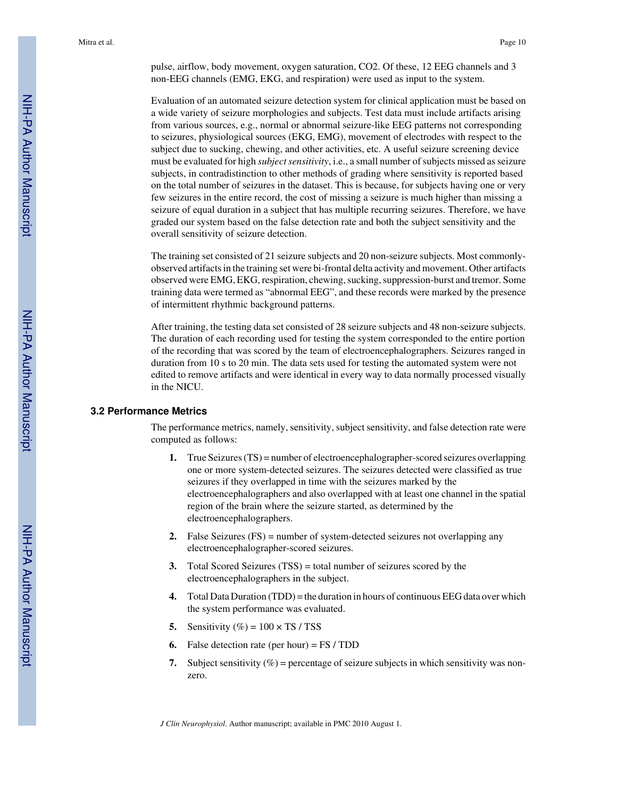pulse, airflow, body movement, oxygen saturation, CO2. Of these, 12 EEG channels and 3 non-EEG channels (EMG, EKG, and respiration) were used as input to the system.

Evaluation of an automated seizure detection system for clinical application must be based on a wide variety of seizure morphologies and subjects. Test data must include artifacts arising from various sources, e.g., normal or abnormal seizure-like EEG patterns not corresponding to seizures, physiological sources (EKG, EMG), movement of electrodes with respect to the subject due to sucking, chewing, and other activities, etc. A useful seizure screening device must be evaluated for high *subject sensitivity*, i.e., a small number of subjects missed as seizure subjects, in contradistinction to other methods of grading where sensitivity is reported based on the total number of seizures in the dataset. This is because, for subjects having one or very few seizures in the entire record, the cost of missing a seizure is much higher than missing a seizure of equal duration in a subject that has multiple recurring seizures. Therefore, we have graded our system based on the false detection rate and both the subject sensitivity and the overall sensitivity of seizure detection.

The training set consisted of 21 seizure subjects and 20 non-seizure subjects. Most commonlyobserved artifacts in the training set were bi-frontal delta activity and movement. Other artifacts observed were EMG, EKG, respiration, chewing, sucking, suppression-burst and tremor. Some training data were termed as "abnormal EEG", and these records were marked by the presence of intermittent rhythmic background patterns.

After training, the testing data set consisted of 28 seizure subjects and 48 non-seizure subjects. The duration of each recording used for testing the system corresponded to the entire portion of the recording that was scored by the team of electroencephalographers. Seizures ranged in duration from 10 s to 20 min. The data sets used for testing the automated system were not edited to remove artifacts and were identical in every way to data normally processed visually in the NICU.

#### **3.2 Performance Metrics**

The performance metrics, namely, sensitivity, subject sensitivity, and false detection rate were computed as follows:

- **1.** True Seizures (TS) = number of electroencephalographer-scored seizures overlapping one or more system-detected seizures. The seizures detected were classified as true seizures if they overlapped in time with the seizures marked by the electroencephalographers and also overlapped with at least one channel in the spatial region of the brain where the seizure started, as determined by the electroencephalographers.
- **2.** False Seizures (FS) = number of system-detected seizures not overlapping any electroencephalographer-scored seizures.
- **3.** Total Scored Seizures (TSS) = total number of seizures scored by the electroencephalographers in the subject.
- **4.** Total Data Duration (TDD) = the duration in hours of continuous EEG data over which the system performance was evaluated.
- **5.** Sensitivity  $(\%) = 100 \times TS / TSS$
- **6.** False detection rate (per hour) = FS / TDD
- **7.** Subject sensitivity  $(\%)$  = percentage of seizure subjects in which sensitivity was nonzero.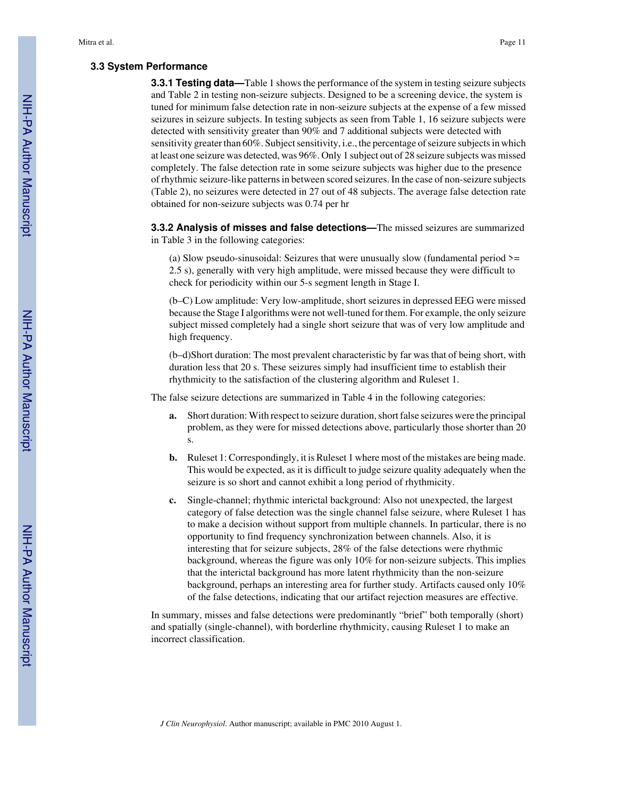#### **3.3 System Performance**

**3.3.1 Testing data—**Table 1 shows the performance of the system in testing seizure subjects and Table 2 in testing non-seizure subjects. Designed to be a screening device, the system is tuned for minimum false detection rate in non-seizure subjects at the expense of a few missed seizures in seizure subjects. In testing subjects as seen from Table 1, 16 seizure subjects were detected with sensitivity greater than 90% and 7 additional subjects were detected with sensitivity greater than 60%. Subject sensitivity, i.e., the percentage of seizure subjects in which at least one seizure was detected, was 96%. Only 1 subject out of 28 seizure subjects was missed completely. The false detection rate in some seizure subjects was higher due to the presence of rhythmic seizure-like patterns in between scored seizures. In the case of non-seizure subjects (Table 2), no seizures were detected in 27 out of 48 subjects. The average false detection rate obtained for non-seizure subjects was 0.74 per hr

**3.3.2 Analysis of misses and false detections—**The missed seizures are summarized in Table 3 in the following categories:

(a) Slow pseudo-sinusoidal: Seizures that were unusually slow (fundamental period  $\ge$ = 2.5 s), generally with very high amplitude, were missed because they were difficult to check for periodicity within our 5-s segment length in Stage I.

(b–C) Low amplitude: Very low-amplitude, short seizures in depressed EEG were missed because the Stage I algorithms were not well-tuned for them. For example, the only seizure subject missed completely had a single short seizure that was of very low amplitude and high frequency.

(b–d)Short duration: The most prevalent characteristic by far was that of being short, with duration less that 20 s. These seizures simply had insufficient time to establish their rhythmicity to the satisfaction of the clustering algorithm and Ruleset 1.

The false seizure detections are summarized in Table 4 in the following categories:

- **a.** Short duration: With respect to seizure duration, short false seizures were the principal problem, as they were for missed detections above, particularly those shorter than 20 s.
- **b.** Ruleset 1: Correspondingly, it is Ruleset 1 where most of the mistakes are being made. This would be expected, as it is difficult to judge seizure quality adequately when the seizure is so short and cannot exhibit a long period of rhythmicity.
- **c.** Single-channel; rhythmic interictal background: Also not unexpected, the largest category of false detection was the single channel false seizure, where Ruleset 1 has to make a decision without support from multiple channels. In particular, there is no opportunity to find frequency synchronization between channels. Also, it is interesting that for seizure subjects, 28% of the false detections were rhythmic background, whereas the figure was only 10% for non-seizure subjects. This implies that the interictal background has more latent rhythmicity than the non-seizure background, perhaps an interesting area for further study. Artifacts caused only 10% of the false detections, indicating that our artifact rejection measures are effective.

In summary, misses and false detections were predominantly "brief" both temporally (short) and spatially (single-channel), with borderline rhythmicity, causing Ruleset 1 to make an incorrect classification.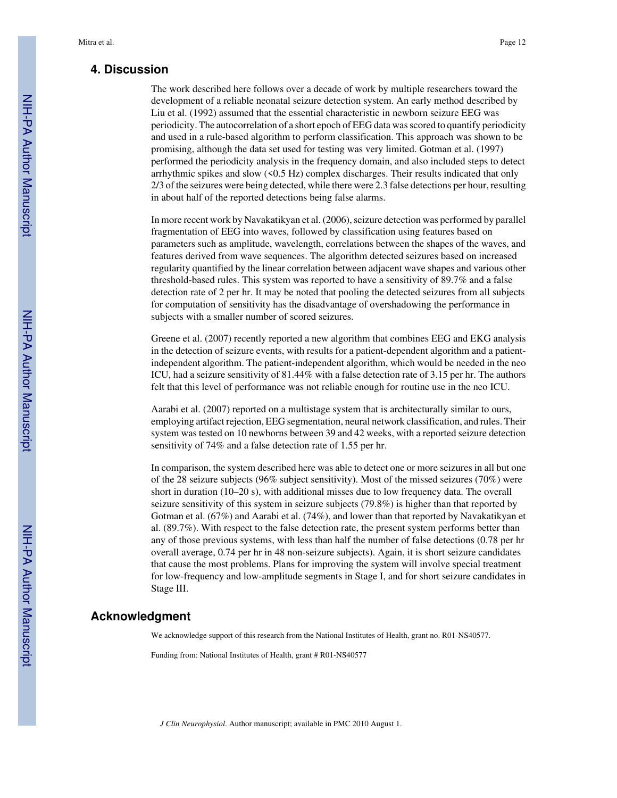## **4. Discussion**

The work described here follows over a decade of work by multiple researchers toward the development of a reliable neonatal seizure detection system. An early method described by Liu et al. (1992) assumed that the essential characteristic in newborn seizure EEG was periodicity. The autocorrelation of a short epoch of EEG data was scored to quantify periodicity and used in a rule-based algorithm to perform classification. This approach was shown to be promising, although the data set used for testing was very limited. Gotman et al. (1997) performed the periodicity analysis in the frequency domain, and also included steps to detect arrhythmic spikes and slow (<0.5 Hz) complex discharges. Their results indicated that only 2/3 of the seizures were being detected, while there were 2.3 false detections per hour, resulting in about half of the reported detections being false alarms.

In more recent work by Navakatikyan et al. (2006), seizure detection was performed by parallel fragmentation of EEG into waves, followed by classification using features based on parameters such as amplitude, wavelength, correlations between the shapes of the waves, and features derived from wave sequences. The algorithm detected seizures based on increased regularity quantified by the linear correlation between adjacent wave shapes and various other threshold-based rules. This system was reported to have a sensitivity of 89.7% and a false detection rate of 2 per hr. It may be noted that pooling the detected seizures from all subjects for computation of sensitivity has the disadvantage of overshadowing the performance in subjects with a smaller number of scored seizures.

Greene et al. (2007) recently reported a new algorithm that combines EEG and EKG analysis in the detection of seizure events, with results for a patient-dependent algorithm and a patientindependent algorithm. The patient-independent algorithm, which would be needed in the neo ICU, had a seizure sensitivity of 81.44% with a false detection rate of 3.15 per hr. The authors felt that this level of performance was not reliable enough for routine use in the neo ICU.

Aarabi et al. (2007) reported on a multistage system that is architecturally similar to ours, employing artifact rejection, EEG segmentation, neural network classification, and rules. Their system was tested on 10 newborns between 39 and 42 weeks, with a reported seizure detection sensitivity of 74% and a false detection rate of 1.55 per hr.

In comparison, the system described here was able to detect one or more seizures in all but one of the 28 seizure subjects (96% subject sensitivity). Most of the missed seizures (70%) were short in duration (10–20 s), with additional misses due to low frequency data. The overall seizure sensitivity of this system in seizure subjects (79.8%) is higher than that reported by Gotman et al. (67%) and Aarabi et al. (74%), and lower than that reported by Navakatikyan et al. (89.7%). With respect to the false detection rate, the present system performs better than any of those previous systems, with less than half the number of false detections (0.78 per hr overall average, 0.74 per hr in 48 non-seizure subjects). Again, it is short seizure candidates that cause the most problems. Plans for improving the system will involve special treatment for low-frequency and low-amplitude segments in Stage I, and for short seizure candidates in Stage III.

## **Acknowledgment**

We acknowledge support of this research from the National Institutes of Health, grant no. R01-NS40577.

Funding from: National Institutes of Health, grant # R01-NS40577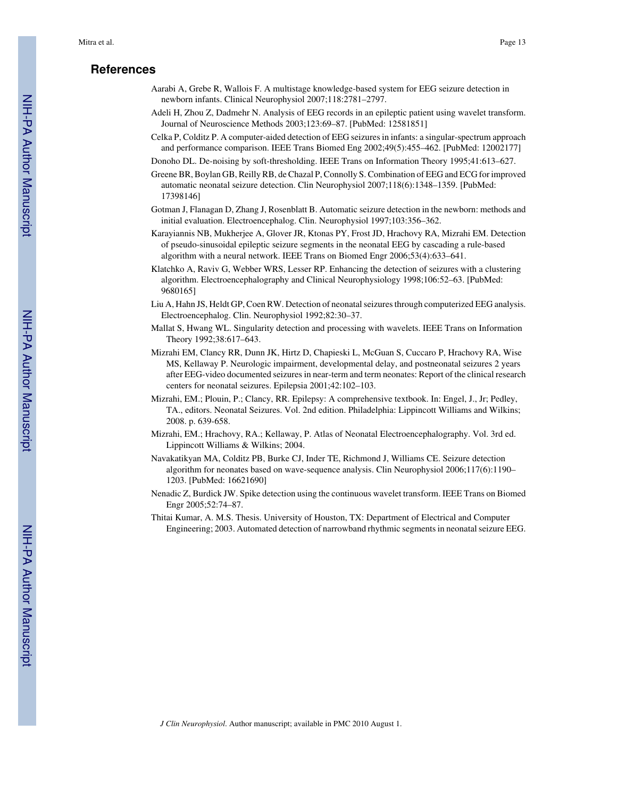## **References**

- Aarabi A, Grebe R, Wallois F. A multistage knowledge-based system for EEG seizure detection in newborn infants. Clinical Neurophysiol 2007;118:2781–2797.
- Adeli H, Zhou Z, Dadmehr N. Analysis of EEG records in an epileptic patient using wavelet transform. Journal of Neuroscience Methods 2003;123:69–87. [PubMed: 12581851]
- Celka P, Colditz P. A computer-aided detection of EEG seizures in infants: a singular-spectrum approach and performance comparison. IEEE Trans Biomed Eng 2002;49(5):455–462. [PubMed: 12002177]
- Donoho DL. De-noising by soft-thresholding. IEEE Trans on Information Theory 1995;41:613–627.
- Greene BR, Boylan GB, Reilly RB, de Chazal P, Connolly S. Combination of EEG and ECG for improved automatic neonatal seizure detection. Clin Neurophysiol 2007;118(6):1348–1359. [PubMed: 17398146]
- Gotman J, Flanagan D, Zhang J, Rosenblatt B. Automatic seizure detection in the newborn: methods and initial evaluation. Electroencephalog. Clin. Neurophysiol 1997;103:356–362.
- Karayiannis NB, Mukherjee A, Glover JR, Ktonas PY, Frost JD, Hrachovy RA, Mizrahi EM. Detection of pseudo-sinusoidal epileptic seizure segments in the neonatal EEG by cascading a rule-based algorithm with a neural network. IEEE Trans on Biomed Engr 2006;53(4):633–641.
- Klatchko A, Raviv G, Webber WRS, Lesser RP. Enhancing the detection of seizures with a clustering algorithm. Electroencephalography and Clinical Neurophysiology 1998;106:52–63. [PubMed: 9680165]
- Liu A, Hahn JS, Heldt GP, Coen RW. Detection of neonatal seizures through computerized EEG analysis. Electroencephalog. Clin. Neurophysiol 1992;82:30–37.
- Mallat S, Hwang WL. Singularity detection and processing with wavelets. IEEE Trans on Information Theory 1992;38:617–643.
- Mizrahi EM, Clancy RR, Dunn JK, Hirtz D, Chapieski L, McGuan S, Cuccaro P, Hrachovy RA, Wise MS, Kellaway P. Neurologic impairment, developmental delay, and postneonatal seizures 2 years after EEG-video documented seizures in near-term and term neonates: Report of the clinical research centers for neonatal seizures. Epilepsia 2001;42:102–103.
- Mizrahi, EM.; Plouin, P.; Clancy, RR. Epilepsy: A comprehensive textbook. In: Engel, J., Jr; Pedley, TA., editors. Neonatal Seizures. Vol. 2nd edition. Philadelphia: Lippincott Williams and Wilkins; 2008. p. 639-658.
- Mizrahi, EM.; Hrachovy, RA.; Kellaway, P. Atlas of Neonatal Electroencephalography. Vol. 3rd ed. Lippincott Williams & Wilkins; 2004.
- Navakatikyan MA, Colditz PB, Burke CJ, Inder TE, Richmond J, Williams CE. Seizure detection algorithm for neonates based on wave-sequence analysis. Clin Neurophysiol 2006;117(6):1190– 1203. [PubMed: 16621690]
- Nenadic Z, Burdick JW. Spike detection using the continuous wavelet transform. IEEE Trans on Biomed Engr 2005;52:74–87.
- Thitai Kumar, A. M.S. Thesis. University of Houston, TX: Department of Electrical and Computer Engineering; 2003. Automated detection of narrowband rhythmic segments in neonatal seizure EEG.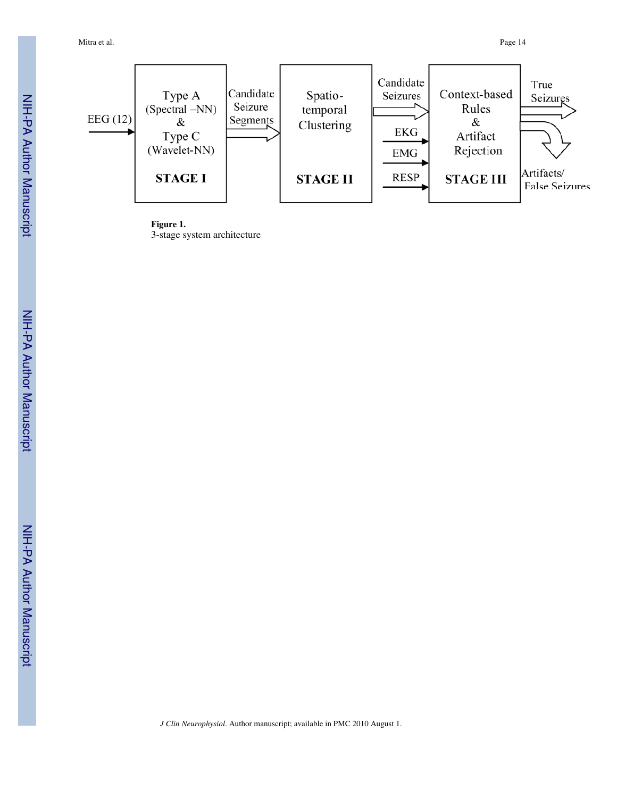Mitra et al. Page 14



**Figure 1.** 3-stage system architecture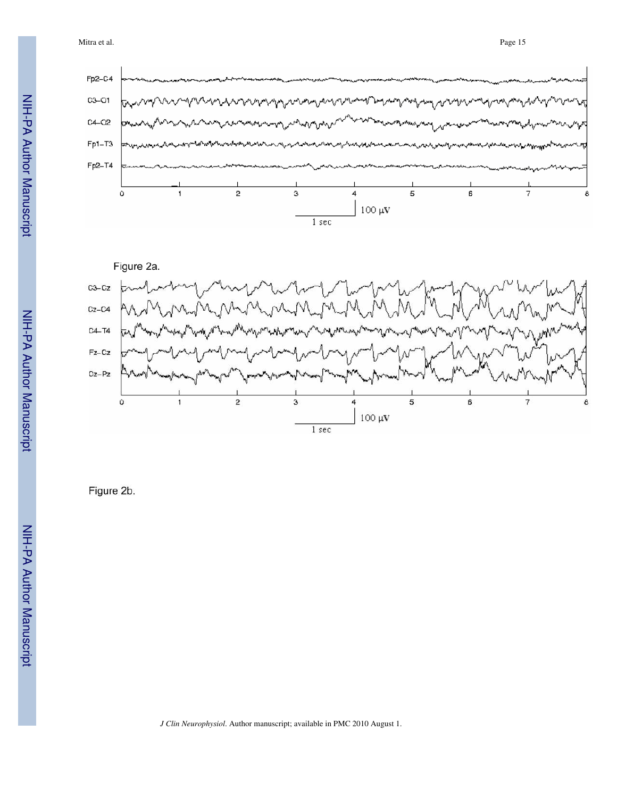Mitra et al. Page 15





Figure 2b.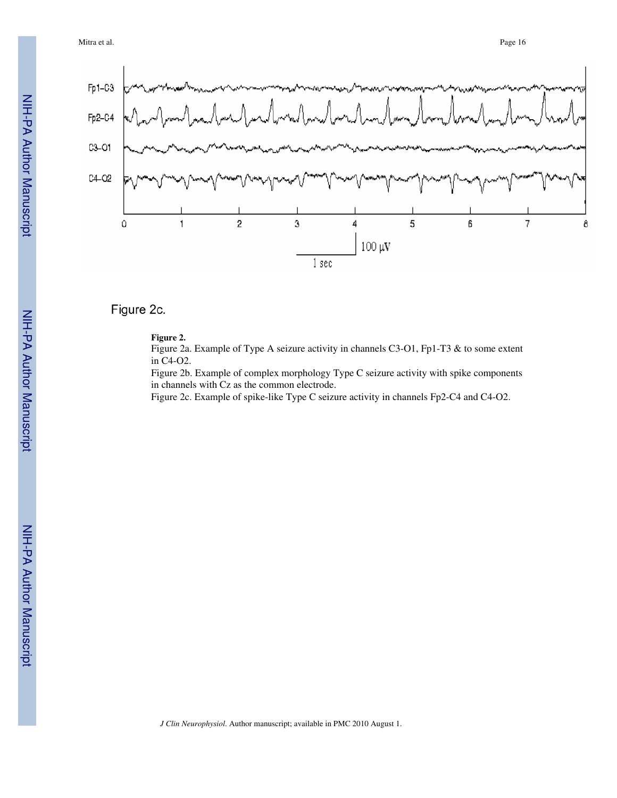

## Figure 2c.

## **Figure 2.**

Figure 2a. Example of Type A seizure activity in channels C3-O1, Fp1-T3 & to some extent in C4-O2.

Figure 2b. Example of complex morphology Type C seizure activity with spike components in channels with Cz as the common electrode.

Figure 2c. Example of spike-like Type C seizure activity in channels Fp2-C4 and C4-O2.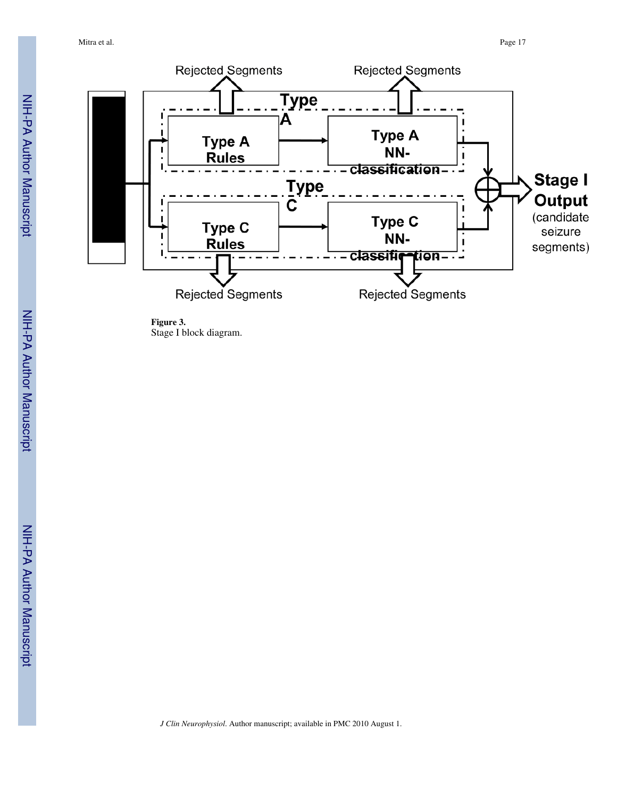

**Figure 3.** Stage I block diagram.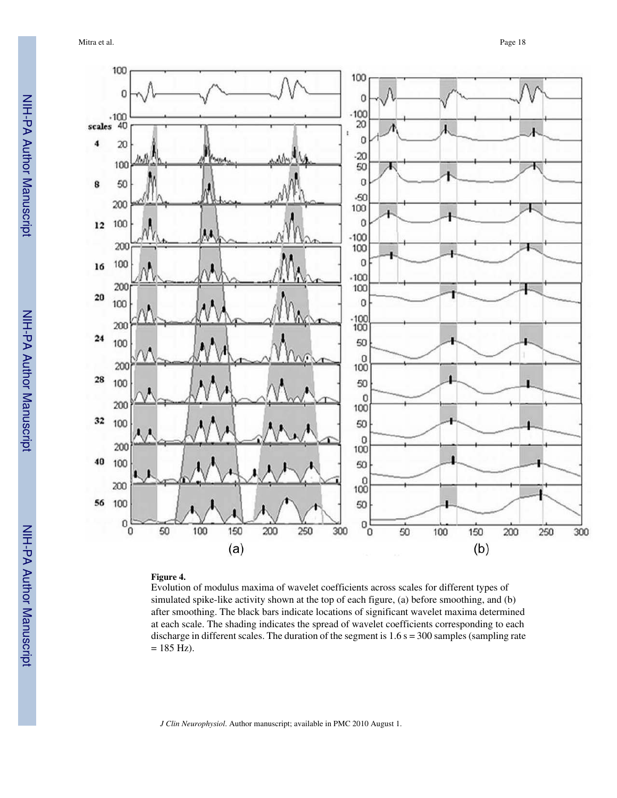Mitra et al. **Page 18** 



#### **Figure 4.**

Evolution of modulus maxima of wavelet coefficients across scales for different types of simulated spike-like activity shown at the top of each figure, (a) before smoothing, and (b) after smoothing. The black bars indicate locations of significant wavelet maxima determined at each scale. The shading indicates the spread of wavelet coefficients corresponding to each discharge in different scales. The duration of the segment is  $1.6 s = 300$  samples (sampling rate  $= 185$  Hz).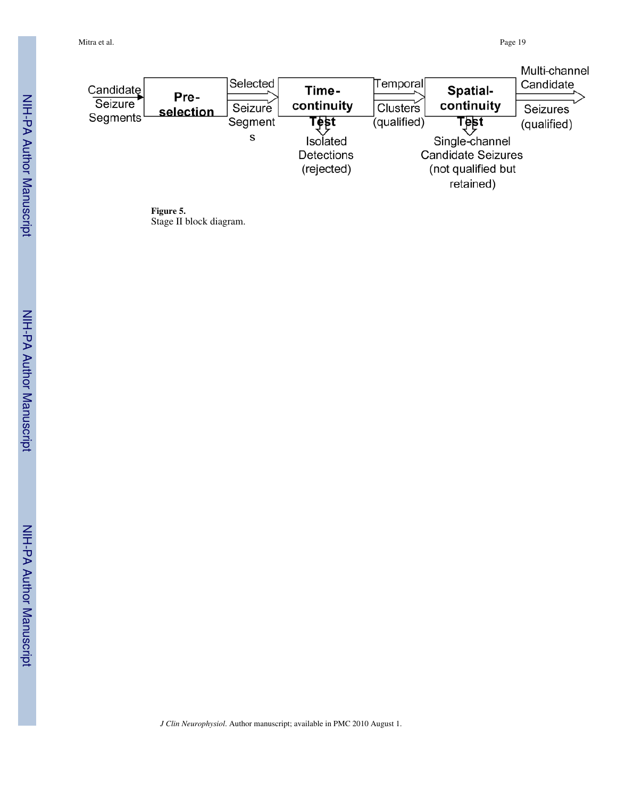Mitra et al. Page 19

|                      |           |          |            |             |                           | Multi-channel |
|----------------------|-----------|----------|------------|-------------|---------------------------|---------------|
| Candidate            | Pre-      | Selected | Time-      | Temporall   | Spatial-                  | Candidate     |
| Seizure <sup>'</sup> | selection | Seizure  | continuity | Clusters    | continuity                | Seizures      |
| Segments             |           | Segment  | l est      | (qualified) | Test                      | (qualified)   |
|                      |           | s        | Isolated   |             | Single-channel            |               |
|                      |           |          | Detections |             | <b>Candidate Seizures</b> |               |
|                      |           |          | (rejected) |             | (not qualified but        |               |
|                      |           |          |            |             | retained)                 |               |

**Figure 5.** Stage II block diagram.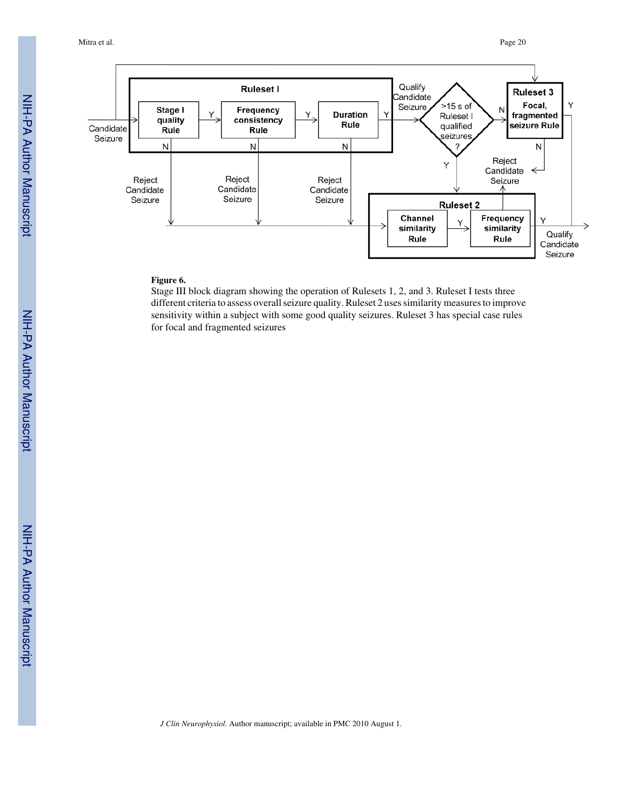

#### **Figure 6.**

Stage III block diagram showing the operation of Rulesets 1, 2, and 3. Ruleset I tests three different criteria to assess overall seizure quality. Ruleset 2 uses similarity measures to improve sensitivity within a subject with some good quality seizures. Ruleset 3 has special case rules for focal and fragmented seizures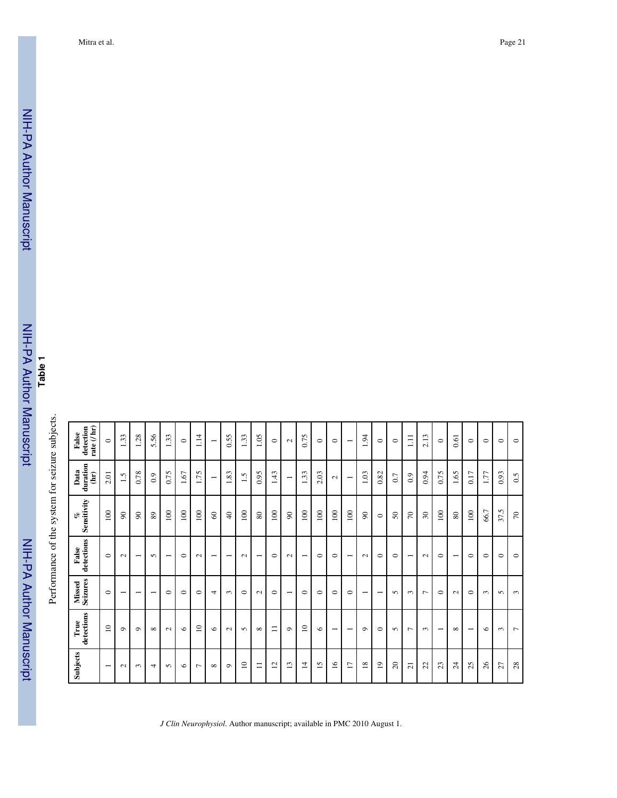| rate $($ / $\bf{hr})$<br>detection<br>False | $\circ$                  | 33<br>$\overline{\phantom{0}}$ | 1.28                     | 5.56                     | 1.33                     | $\circ$ | $\ddot{=}$<br>- |                          | 0.55                     | 33<br>$\overline{\phantom{0}}$ | 1.05                     | $\circ$                                     | $\sim$                                         | 0.75                          | $\circ$                            | $\circ$                  | $\overline{\phantom{0}}$                   | $\ddot{9}$               | $\circ$                  | $\circ$    | $\Xi$                    | 2.13           | $\circ$                  | 0.61                     | $\circ$                  | $\circ$ | $\circ$    | $\circ$        |
|---------------------------------------------|--------------------------|--------------------------------|--------------------------|--------------------------|--------------------------|---------|-----------------|--------------------------|--------------------------|--------------------------------|--------------------------|---------------------------------------------|------------------------------------------------|-------------------------------|------------------------------------|--------------------------|--------------------------------------------|--------------------------|--------------------------|------------|--------------------------|----------------|--------------------------|--------------------------|--------------------------|---------|------------|----------------|
| duration<br>Data<br>$\mathbf{\hat{a}}$      | 2.01                     | 1.5                            | 0.78                     | 0.9                      | 0.75                     | $1.67$  | 1.75            | $\overline{\phantom{0}}$ | 1.83                     | $\overline{1.5}$               | 0.95                     | 1.43                                        | $\overline{\phantom{0}}$                       | 1.33                          | 2.03                               | $\sim$                   | $\overline{\phantom{0}}$                   | 1.03                     | 0.82                     | 0.7        | 0.9                      | 0.94           | 0.75                     | 1.65                     | 0.17                     | 1.77    | 0.93       | 0.5            |
| Sensitivity<br>o                            | 100                      | $\infty$                       | $\infty$                 | 89                       | 100                      | 100     | 100             | $\infty$                 | $\overline{4}$           | 100                            | $80\,$                   | 100                                         | $\boldsymbol{\mathcal{S}}$                     | 100                           | 100                                | 100                      | 100                                        | $\infty$                 | $\circ$                  | $50\,$     | $\sqrt{2}$               | $30\,$         | 100                      | $\rm 80$                 | 100                      | 66.7    | 37.5       | $\mathcal{L}$  |
| detections<br>False                         | $\circ$                  | $\sim$                         | $\overline{\phantom{0}}$ | S                        | $\overline{\phantom{0}}$ | $\circ$ | $\sim$          | $\overline{\phantom{0}}$ | $\overline{\phantom{0}}$ | $\sim$                         | $\overline{\phantom{0}}$ | $\circ$                                     | $\sim$                                         | $\overline{\phantom{0}}$      | $\circ$                            | $\circ$                  | $\overline{\phantom{0}}$                   | $\sim$                   | $\circ$                  | $\circ$    | $\overline{\phantom{0}}$ | $\sim$         | $\circ$                  | $\overline{\phantom{0}}$ | $\circ$                  | $\circ$ | $\circ$    | $\circ$        |
| Missed<br>Seizures                          | $\circ$                  | $\overline{\phantom{0}}$       | $\overline{\phantom{0}}$ | $\overline{\phantom{0}}$ | $\circ$                  | $\circ$ | $\circ$         | 4                        | $\sim$                   | $\circ$                        | $\sim$                   | $\circ$                                     | $\overline{\phantom{0}}$                       | $\circ$                       | $\circ$                            | $\circ$                  | $\circ$                                    | $\overline{\phantom{0}}$ | $\overline{\phantom{0}}$ | $\sqrt{2}$ | $\sim$                   | $\overline{ }$ | $\circ$                  | $\sim$                   | $\circ$                  | $\sim$  | $\sim$     | $\epsilon$     |
| detections<br>True                          | $\approx$                | $\circ$                        | $\circ$                  | $\infty$                 | $\sim$                   | $\circ$ | $\overline{10}$ | $\circ$                  | $\sim$                   | S                              | $\infty$                 | Ξ                                           | $\circ$                                        | $\overline{1}$                | $\circ$                            | $\overline{\phantom{0}}$ | $\overline{\phantom{0}}$                   | $\circ$                  | $\circ$                  | $\sim$     | ↽                        | $\sim$         | $\overline{\phantom{0}}$ | $\infty$                 | $\overline{\phantom{0}}$ | $\circ$ | $\epsilon$ | $\overline{ }$ |
| Subjects                                    | $\overline{\phantom{0}}$ | $\sim$                         | $\sim$                   | $\overline{ }$           | $\sqrt{2}$               | $\circ$ | $\overline{ }$  | $\infty$                 | $\circ$                  | $\overline{10}$                | $\equiv$                 | $\mathbf{\sim}$<br>$\overline{\phantom{0}}$ | $\mathbf{\hat{z}}$<br>$\overline{\phantom{0}}$ | 4<br>$\overline{\phantom{0}}$ | $\sim$<br>$\overline{\phantom{0}}$ | $\tilde{16}$             | $\overline{ }$<br>$\overline{\phantom{a}}$ | $\frac{8}{18}$           | $\overline{1}$           | $\Omega$   | $\overline{z}$           | 22             | 23                       | $\overline{24}$          | 25                       | 26      | 27         | 28             |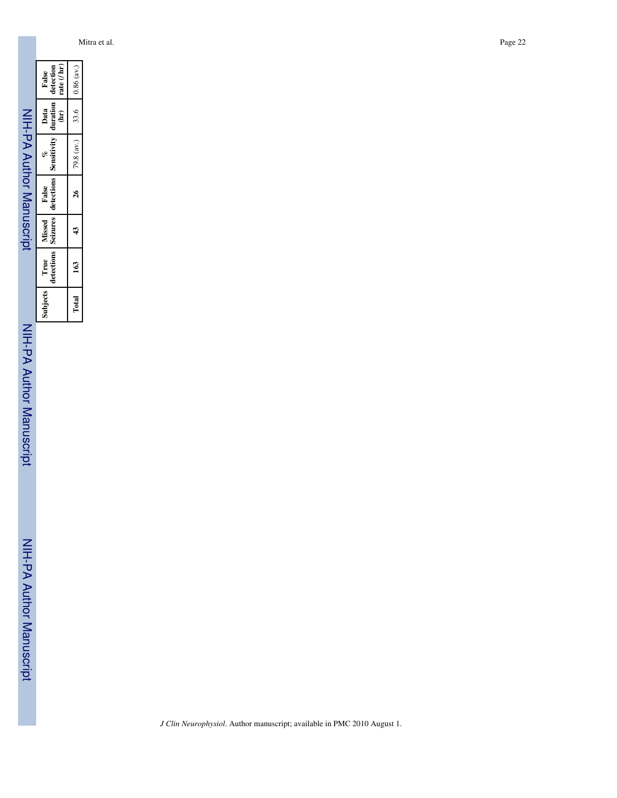Mitra et al. Page 22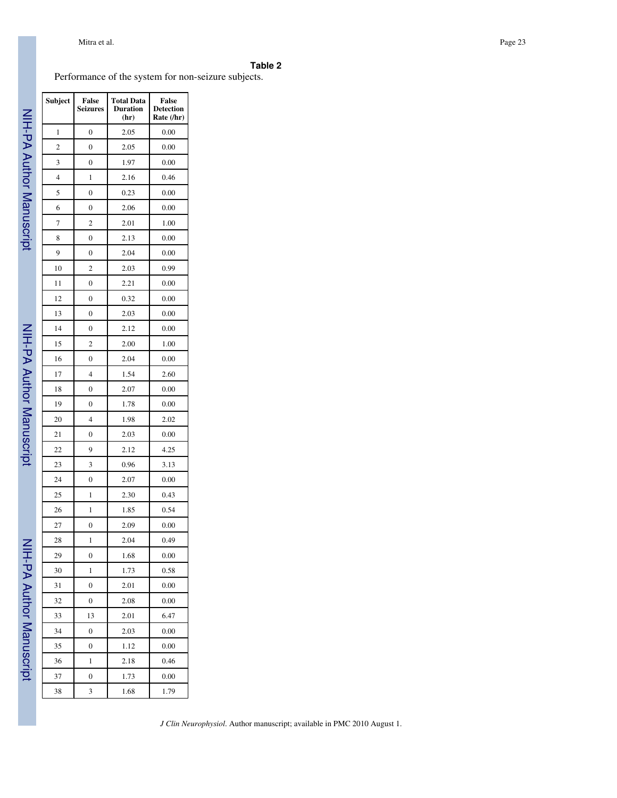| ٠ | ıblı |  |  |
|---|------|--|--|
|---|------|--|--|

Performance of the system for non-seizure subjects.

| Subject        | False<br><b>Seizures</b> | <b>Total Data</b><br><b>Duration</b><br>(hr) | <b>False</b><br><b>Detection</b><br>Rate (/hr) |
|----------------|--------------------------|----------------------------------------------|------------------------------------------------|
| 1              | $\overline{0}$           | 2.05                                         | 0.00                                           |
| $\overline{c}$ | 0                        | 2.05                                         | 0.00                                           |
| 3              | 0                        | 1.97                                         | 0.00                                           |
| 4              | 1                        | 2.16                                         | 0.46                                           |
| 5              | $\overline{0}$           | 0.23                                         | 0.00                                           |
| 6              | 0                        | 2.06                                         | 0.00                                           |
| 7              | 2                        | 2.01                                         | 1.00                                           |
| 8              | 0                        | 2.13                                         | 0.00                                           |
| 9              | $\overline{0}$           | 2.04                                         | 0.00                                           |
| 10             | $\overline{c}$           | 2.03                                         | 0.99                                           |
| 11             | 0                        | 2.21                                         | 0.00                                           |
| 12             | 0                        | 0.32                                         | 0.00                                           |
| 13             | $\overline{0}$           | 2.03                                         | 0.00                                           |
| 14             | $\boldsymbol{0}$         | 2.12                                         | 0.00                                           |
| 15             | 2                        | 2.00                                         | 1.00                                           |
| 16             | 0                        | 2.04                                         | 0.00                                           |
| 17             | $\overline{4}$           | 1.54                                         | 2.60                                           |
| 18             | $\boldsymbol{0}$         | 2.07                                         | 0.00                                           |
| 19             | 0                        | 1.78                                         | 0.00                                           |
| 20             | 4                        | 1.98                                         | 2.02                                           |
| 21             | $\overline{0}$           | 2.03                                         | 0.00                                           |
| 22             | 9                        | 2.12                                         | 4.25                                           |
| 23             | 3                        | 0.96                                         | 3.13                                           |
| 24             | 0                        | 2.07                                         | 0.00                                           |
| 25             | 1                        | 2.30                                         | 0.43                                           |
| 26             | 1                        | 1.85                                         | 0.54                                           |
| 27             | 0                        | 2.09                                         | 0.00                                           |
| 28             | 1                        | 2.04                                         | 0.49                                           |
| 29             | 0                        | 1.68                                         | 0.00                                           |
| 30             | 1                        | 1.73                                         | 0.58                                           |
| 31             | $\overline{0}$           | 2.01                                         | 0.00                                           |
| 32             | 0                        | 2.08                                         | 0.00                                           |
| 33             | 13                       | 2.01                                         | 6.47                                           |
| 34             | 0                        | 2.03                                         | 0.00                                           |
| 35             | $\overline{0}$           | 1.12                                         | 0.00                                           |
| 36             | 1                        | 2.18                                         | 0.46                                           |
| 37             | 0                        | 1.73                                         | 0.00                                           |
| 38             | 3                        | 1.68                                         | 1.79                                           |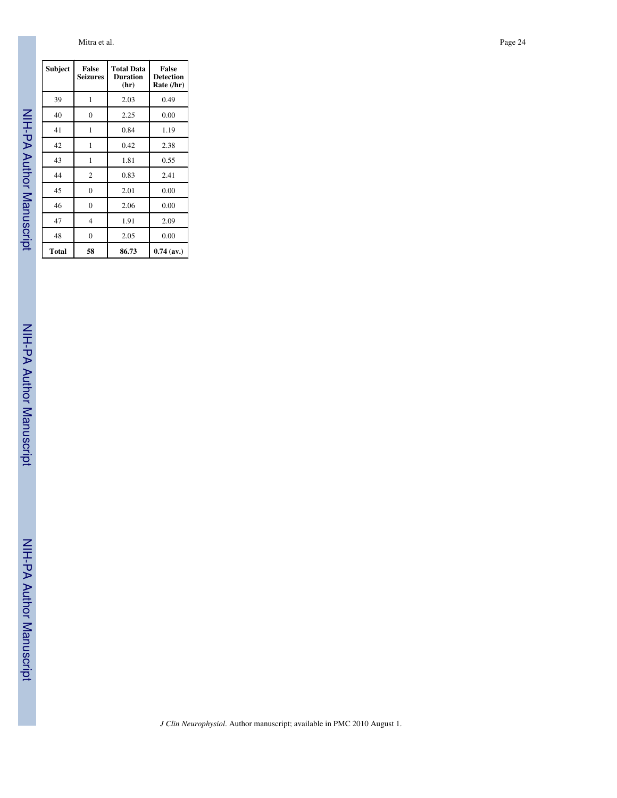Mitra et al. **Page 24** 

NIH-PA Author Manuscript NIH-PA Author Manuscript

NIH-PA Author Manuscript

NIH-PA Author Manuscript

NIH-PA Author Manuscript

NIH-PA Author Manuscript

| Subject | <b>False</b><br><b>Seizures</b> | <b>Total Data</b><br><b>Duration</b><br>(hr) | <b>False</b><br><b>Detection</b><br>Rate (/hr) |
|---------|---------------------------------|----------------------------------------------|------------------------------------------------|
| 39      | 1                               | 2.03                                         | 0.49                                           |
| 40      | 0                               | 2.25                                         | 0.00                                           |
| 41      | 1                               | 0.84                                         | 1.19                                           |
| 42      | 1                               | 0.42                                         | 2.38                                           |
| 43      | 1                               | 1.81                                         | 0.55                                           |
| 44      | $\overline{2}$                  | 0.83                                         | 2.41                                           |
| 45      | 0                               | 2.01                                         | 0.00                                           |
| 46      | 0                               | 2.06                                         | 0.00                                           |
| 47      | 4                               | 1.91                                         | 2.09                                           |
| 48      | 0                               | 2.05                                         | 0.00                                           |
| Total   | 58                              | 86.73                                        | $0.74$ (av.)                                   |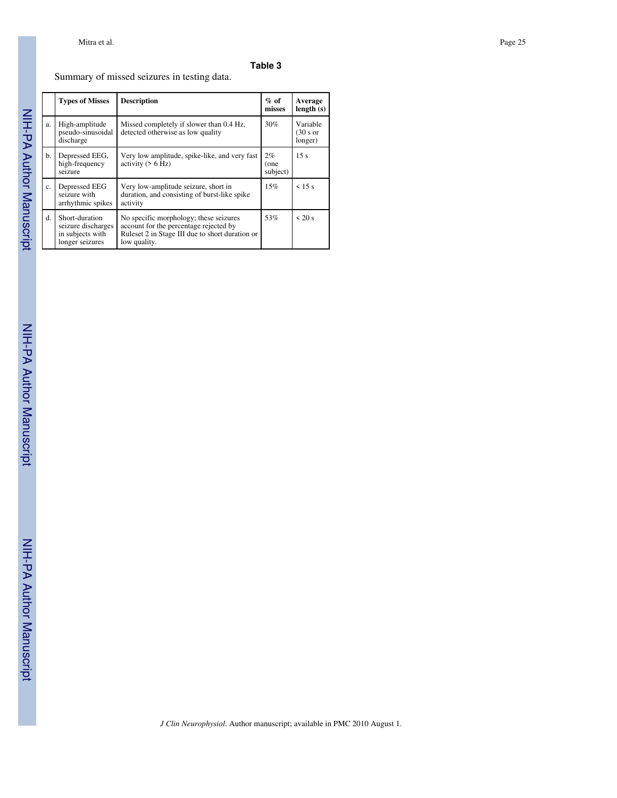## **Table 3**

## Summary of missed seizures in testing data.

|    | <b>Types of Misses</b>                                                      | <b>Description</b>                                                                                                                                  | $%$ of<br>misses       | Average<br>length(s)            |
|----|-----------------------------------------------------------------------------|-----------------------------------------------------------------------------------------------------------------------------------------------------|------------------------|---------------------------------|
| a. | High-amplitude<br>pseudo-sinusoidal<br>discharge                            | Missed completely if slower than 0.4 Hz,<br>detected otherwise as low quality                                                                       | 30%                    | Variable<br>(30 s or<br>longer) |
| b. | Depressed EEG,<br>high-frequency<br>seizure                                 | Very low amplitude, spike-like, and very fast<br>activity $($ > 6 Hz)                                                                               | 2%<br>(one<br>subject) | 15 <sub>s</sub>                 |
| c. | Depressed EEG<br>seizure with<br>arrhythmic spikes                          | Very low-amplitude seizure, short in<br>duration, and consisting of burst-like spike<br>activity                                                    | 15%                    | $\leq 15$ s                     |
| d. | Short-duration<br>seizure discharges<br>in subjects with<br>longer seizures | No specific morphology; these seizures<br>account for the percentage rejected by<br>Ruleset 2 in Stage III due to short duration or<br>low quality. | 53%                    | $\leq 20$ s                     |

NIH-PA Author Manuscript NIH-PA Author Manuscript